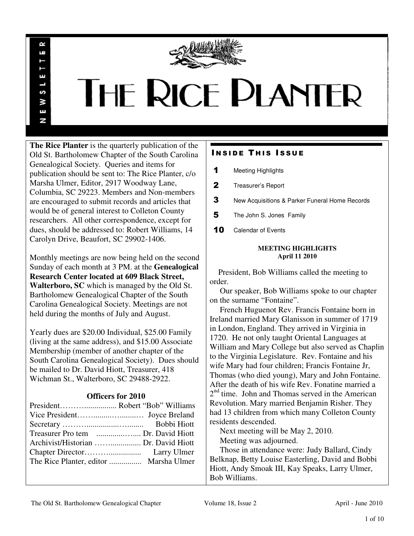

# **THE RICE PLANTER**

**The Rice Planter** is the quarterly publication of the Old St. Bartholomew Chapter of the South Carolina Genealogical Society. Queries and items for publication should be sent to: The Rice Planter, c/o Marsha Ulmer, Editor, 2917 Woodway Lane, Columbia, SC 29223. Members and Non-members are encouraged to submit records and articles that would be of general interest to Colleton County researchers. All other correspondence, except for dues, should be addressed to: Robert Williams, 14 Carolyn Drive, Beaufort, SC 29902-1406.

R uń

ш

S ¥ E N

Monthly meetings are now being held on the second Sunday of each month at 3 PM. at the **Genealogical Research Center located at 609 Black Street, Walterboro, SC** which is managed by the Old St. Bartholomew Genealogical Chapter of the South Carolina Genealogical Society. Meetings are not held during the months of July and August.

Yearly dues are \$20.00 Individual, \$25.00 Family (living at the same address), and \$15.00 Associate Membership (member of another chapter of the South Carolina Genealogical Society). Dues should be mailed to Dr. David Hiott, Treasurer, 418 Wichman St., Walterboro, SC 29488-2922.

## **Officers for 2010**

# **INSIDE THIS ISSUE**

- 1 Meeting Highlights
- 2 Treasurer's Report
- 3 New Acquisitions & Parker Funeral Home Records
- 5 The John S. Jones Family
- 10 Calendar of Events

#### **MEETING HIGHLIGHTS April 11 2010**

 President, Bob Williams called the meeting to order.

 Our speaker, Bob Williams spoke to our chapter on the surname "Fontaine".

 French Huguenot Rev. Francis Fontaine born in Ireland married Mary Glanisson in summer of 1719 in London, England. They arrived in Virginia in 1720. He not only taught Oriental Languages at William and Mary College but also served as Chaplin to the Virginia Legislature. Rev. Fontaine and his wife Mary had four children; Francis Fontaine Jr, Thomas (who died young), Mary and John Fontaine. After the death of his wife Rev. Fonatine married a 2<sup>nd</sup> time. John and Thomas served in the American Revolution. Mary married Benjamin Risher. They had 13 children from which many Colleton County residents descended.

Next meeting will be May 2, 2010.

Meeting was adjourned.

 Those in attendance were: Judy Ballard, Cindy Belknap, Betty Louise Easterling, David and Bobbi Hiott, Andy Smoak III, Kay Speaks, Larry Ulmer, Bob Williams.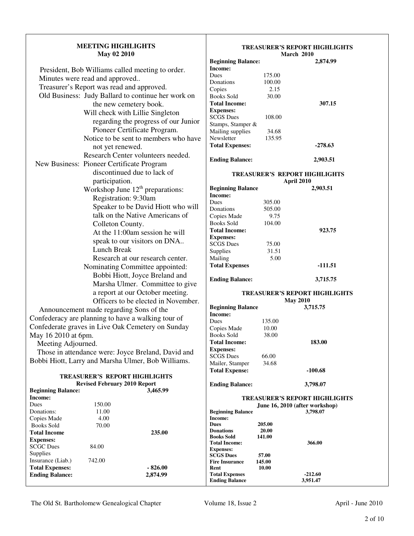| <b>MEETING HIGHLIGHTS</b> |  |
|---------------------------|--|
| <b>May 02 2010</b>        |  |

| President, Bob Williams called meeting to order.   |
|----------------------------------------------------|
| Minutes were read and approved                     |
| Treasurer's Report was read and approved.          |
| Old Business: Judy Ballard to continue her work on |
| the new cemetery book.                             |
| Will check with Lillie Singleton                   |
| regarding the progress of our Junior               |
| Pioneer Certificate Program.                       |
| Notice to be sent to members who have              |
| not yet renewed.                                   |
| Research Center volunteers needed.                 |
| New Business: Pioneer Certificate Program          |
| discontinued due to lack of                        |
| participation.                                     |
| Workshop June 12 <sup>th</sup> preparations:       |
| Registration: 9:30am                               |
| Speaker to be David Hiott who will                 |
| talk on the Native Americans of                    |
| Colleton County.                                   |
| At the 11:00am session he will                     |
| speak to our visitors on DNA                       |
| Lunch Break                                        |
| Research at our research center.                   |
| Nominating Committee appointed:                    |
| Bobbi Hiott, Joyce Breland and                     |
| Marsha Ulmer. Committee to give                    |
| a report at our October meeting.                   |
| Officers to be elected in November.                |
| Announcement made regarding Sons of the            |
|                                                    |

Confederacy are planning to have a walking tour of Confederate graves in Live Oak Cemetery on Sunday May 16 2010 at 6pm.

Meeting Adjourned.

 Those in attendance were: Joyce Breland, David and Bobbi Hiott, Larry and Marsha Ulmer, Bob Williams.

| <b>TREASURER'S REPORT HIGHLIGHTS</b> |
|--------------------------------------|
| <b>Revised February 2010 Report</b>  |

#### **Income:**   $175.00$ <br> $100.00$ Donations Copies 2.15 Books Sold 30.00 **Total Income: 307.15 Expenses:**  SCGS Dues 108.00 Stamps, Stamper & Mailing supplies 34.68<br>Newsletter 135.95 Newsletter

**Beginning Balance:** 

**TREASURER'S REPORT HIGHLIGHTS** 

**March 2010** 

**Total Expenses: -278.63** 

**Ending Balance: 2,903.51** 

## **TREASURER'S REPORT HIGHLIGHTS**

|                          | April 2010 |           |  |
|--------------------------|------------|-----------|--|
| <b>Beginning Balance</b> | 2,903.51   |           |  |
| Income:                  |            |           |  |
| Dues                     | 305.00     |           |  |
| Donations                | 505.00     |           |  |
| Copies Made              | 9.75       |           |  |
| Books Sold               | 104.00     |           |  |
| <b>Total Income:</b>     |            | 923.75    |  |
| <b>Expenses:</b>         |            |           |  |
| <b>SCGS</b> Dues         | 75.00      |           |  |
| Supplies                 | 31.51      |           |  |
| Mailing                  | 5.00       |           |  |
| <b>Total Expenses</b>    |            | $-111.51$ |  |
| <b>Ending Balance:</b>   |            | 3,715.75  |  |

# **TREASURER'S REPORT HIGHLIGHTS**

|                          | <b>May 2010</b> |           |  |
|--------------------------|-----------------|-----------|--|
| <b>Beginning Balance</b> |                 | 3,715.75  |  |
| Income:                  |                 |           |  |
| Dues                     | 135.00          |           |  |
| Copies Made              | 10.00           |           |  |
| Books Sold               | 38.00           |           |  |
| <b>Total Income:</b>     |                 | 183.00    |  |
| <b>Expenses:</b>         |                 |           |  |
| <b>SCGS Dues</b>         | 66.00           |           |  |
| Mailer, Stamper          | 34.68           |           |  |
| <b>Total Expense:</b>    |                 | $-100.68$ |  |
|                          |                 |           |  |

**Ending Balance: 3,798.07** 

|        | 3,465.99  |                                      |                                                                                                                                                                                           |
|--------|-----------|--------------------------------------|-------------------------------------------------------------------------------------------------------------------------------------------------------------------------------------------|
|        |           |                                      |                                                                                                                                                                                           |
| 150.00 |           | June 16, 2010 (after workshop)       |                                                                                                                                                                                           |
| 11.00  |           | <b>Beginning Balance</b><br>3,798.07 |                                                                                                                                                                                           |
| 4.00   |           | Income:                              |                                                                                                                                                                                           |
| 70.00  |           | 205.00<br><b>Dues</b>                |                                                                                                                                                                                           |
|        | 235.00    | 20.00<br><b>Donations</b>            |                                                                                                                                                                                           |
|        |           |                                      |                                                                                                                                                                                           |
| 84.00  |           |                                      |                                                                                                                                                                                           |
|        |           |                                      |                                                                                                                                                                                           |
| 742.00 |           |                                      |                                                                                                                                                                                           |
|        | $-826.00$ | Rent<br>10.00                        |                                                                                                                                                                                           |
|        | 2,874.99  | <b>Total Expenses</b><br>$-212.60$   |                                                                                                                                                                                           |
|        |           | <b>Ending Balance</b><br>3,951.47    |                                                                                                                                                                                           |
|        |           |                                      | <b>TREASURER'S REPORT HIGHLIGHTS</b><br>141.00<br><b>Books Sold</b><br>366.00<br><b>Total Income:</b><br><b>Expenses:</b><br><b>SCGS</b> Dues<br>57.00<br>145.00<br><b>Fire Insurance</b> |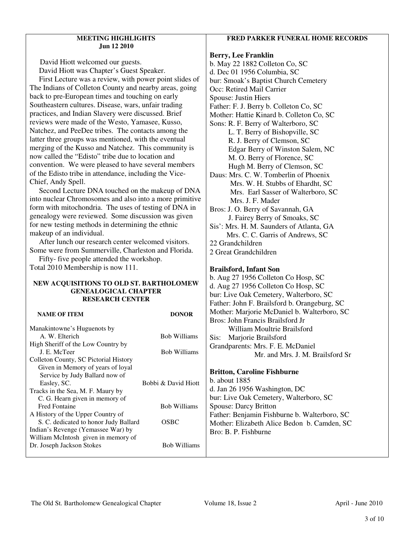#### **MEETING HIGHLIGHTS Jun 12 2010**

 David Hiott welcomed our guests. David Hiott was Chapter's Guest Speaker.

 First Lecture was a review, with power point slides of The Indians of Colleton County and nearby areas, going back to pre-European times and touching on early Southeastern cultures. Disease, wars, unfair trading practices, and Indian Slavery were discussed. Brief reviews were made of the Westo, Yamasee, Kusso, Natchez, and PeeDee tribes. The contacts among the latter three groups was mentioned, with the eventual merging of the Kusso and Natchez. This community is now called the "Edisto" tribe due to location and convention. We were pleased to have several members of the Edisto tribe in attendance, including the Vice-Chief, Andy Spell.

 Second Lecture DNA touched on the makeup of DNA into nuclear Chromosomes and also into a more primitive form with mitochondria. The uses of testing of DNA in genealogy were reviewed. Some discussion was given for new testing methods in determining the ethnic makeup of an individual.

 After lunch our research center welcomed visitors. Some were from Summerville, Charleston and Florida.

 Fifty- five people attended the workshop. Total 2010 Membership is now 111.

#### **NEW ACQUISITIONS TO OLD ST. BARTHOLOMEW GENEALOGICAL CHAPTER RESEARCH CENTER**

#### **NAME OF ITEM DONOR** Manakintowne's Huguenots by A. W. Elterich Bob Williams High Sheriff of the Low Country by J. E. McTeer Bob Williams Colleton County, SC Pictorial History Given in Memory of years of loyal Service by Judy Ballard now of Easley, SC. Bobbi & David Hiott Tracks in the Sea, M. F. Maury by C. G. Hearn given in memory of Fred Fontaine Bob Williams A History of the Upper Country of S. C. dedicated to honor Judy Ballard OSBC Indian's Revenge (Yemassee War) by William McIntosh given in memory of Dr. Joseph Jackson Stokes Bob Williams Mother: Marjorie McDaniel b. Walterboro, SC Bros: John Francis Brailsford Jr William Moultrie Brailsford Sis: Marjorie Brailsford Grandparents: Mrs. F. E. McDaniel **Britton, Caroline Fishburne**  b. about 1885 d. Jan 26 1956 Washington, DC bur: Live Oak Cemetery, Walterboro, SC Spouse: Darcy Britton Father: Benjamin Fishburne b. Walterboro, SC Mother: Elizabeth Alice Bedon b. Camden, SC Bro: B. P. Fishburne

## **FRED PARKER FUNERAL HOME RECORDS**

### **Berry, Lee Franklin**

b. May 22 1882 Colleton Co, SC d. Dec 01 1956 Columbia, SC bur: Smoak's Baptist Church Cemetery Occ: Retired Mail Carrier Spouse: Justin Hiers Father: F. J. Berry b. Colleton Co, SC Mother: Hattie Kinard b. Colleton Co, SC Sons: R. F. Berry of Walterboro, SC L. T. Berry of Bishopville, SC R. J. Berry of Clemson, SC Edgar Berry of Winston Salem, NC M. O. Berry of Florence, SC Hugh M. Berry of Clemson, SC Daus: Mrs. C. W. Tomberlin of Phoenix Mrs. W. H. Stubbs of Ehardht, SC Mrs. Earl Sasser of Walterboro, SC Mrs. J. F. Mader Bros: J. O. Berry of Savannah, GA J. Fairey Berry of Smoaks, SC Sis': Mrs. H. M. Saunders of Atlanta, GA Mrs. C. C. Garris of Andrews, SC 22 Grandchildren 2 Great Grandchildren

## **Brailsford, Infant Son**

b. Aug 27 1956 Colleton Co Hosp, SC d. Aug 27 1956 Colleton Co Hosp, SC bur: Live Oak Cemetery, Walterboro, SC Father: John F. Brailsford b. Orangeburg, SC Mr. and Mrs. J. M. Brailsford Sr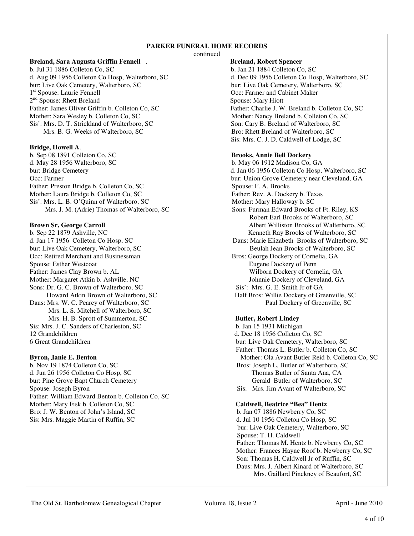## **PARKER FUNERAL HOME RECORDS**

continued

#### **Breland, Sara Augusta Griffin Fennell** . **Breland, Robert Spencer**

b. Jul 31 1886 Colleton Co, SC b. Jan 21 1884 Colleton Co, SC d. Aug 09 1956 Colleton Co Hosp, Walterboro, SC d. Dec 09 1956 Colleton Co Hosp d. Aug 09 1956 Colleton Co Hosp, Walterboro, SC d. Dec 09 1956 Colleton Co Hosp, Walterboro, SC bur: Live Oak Cemetery, Walterboro, SC bur: Live Oak Cemetery, Walterboro, SC 1<sup>st</sup> Spouse: Laurie Fennell 2<sup>nd</sup> Spouse: Rhett Breland Spouse: Mary Hiott Father: James Oliver Griffin b. Colleton Co, SC Father: Charlie J. W. Breland b. Colleton Co, SC Mother: Sara Wesley b. Colleton Co, SC Mother: Nancy Breland b. Colleton Co, SC Sis': Mrs. D. T. Strickland of Walterboro, SC Son: Cary B. Breland of Walterboro, SC Mrs. B. G. Weeks of Walterboro, SC Bro: Rhett Breland of Walterboro, SC

#### **Bridge, Howell A**.

b. Sep 08 1891 Colleton Co, SC **Brooks, Annie Bell Dockery** d. May 28 1956 Walterboro, SC b. May 06 1912 Madison Co, GA bur: Bridge Cemetery d. Jan 06 1956 Colleton Co Hosp, Walterboro, SC Occ: Farmer bur: Union Grove Cemetery near Cleveland, GA<br>
Father: Preston Bridge b. Colleton Co, SC<br>
Spouse: F. A. Brooks Father: Preston Bridge b. Colleton Co, SC Mother: Laura Bridge b. Colleton Co, SC<br>
Sis': Mrs. L. B. O'Quinn of Walterboro, SC<br>
Mother: Mary Halloway b. SC Sis': Mrs. L. B. O'Quinn of Walterboro, SC

b. Sep 22 1879 Ashville, NC<br>
d. Jan 17 1956 Colleton Co Hosp, SC<br>
Daus: Marie Elizabeth Brooks of Walterboro, SC<br>
Daus: Marie Elizabeth Brooks of Walterboro. bur: Live Oak Cemetery, Walterboro, SC Beulah Jean Brooks of Walterboro, SC Occ: Retired Merchant and Businessman Bros: George Dockery of Cornelia, GA Spouse: Esther Westcoat **Eugene Dockery of Penn** Father: James Clay Brown b. AL Wilborn Dockery of Cornelia, GA<br>
Mother: Margaret Atkin b. Ashville, NC<br>
Johnnie Dockery of Cleveland, GA Mother: Margaret Atkin b. Ashville, NC<br>
Sons: Dr. G. C. Brown of Walterboro, SC<br>
Sis': Mrs. G. E. Smith Jr of GA Sons: Dr. G. C. Brown of Walterboro, SC Daus: Mrs. W. C. Pearcy of Walterboro, SC Paul Dockery of Greenville, SC Mrs. L. S. Mitchell of Walterboro, SC Mrs. H. B. Sprott of Summerton, SC **Butler, Robert Lindey** Sis: Mrs. J. C. Sanders of Charleston, SC b. Jan 15 1931 Michigan 12 Grandchildren d. Dec 18 1956 Colleton Co, SC 6 Great Grandchildren bur: Live Oak Cemetery, Walterboro, SC

b. Nov 19 1874 Colleton Co, SC Bros: Joseph L. Butler of Walterboro, SC d. Jun 26 1956 Colleton Co Hosp, SC Thomas Butler of Santa Ana, CA bur: Pine Grove Bapt Church Cemetery Gerald Butler of Walterboro, SC Spouse: Joseph Byron Sis: Mrs. Jim Avant of Walterboro, SC Father: William Edward Benton b. Colleton Co, SC Mother: Mary Fisk b. Colleton Co, SC **Caldwell, Beatrice "Bea" Hentz** Bro: J. W. Benton of John's Island, SC b. Jan 07 1886 Newberry Co, SC Sis: Mrs. Maggie Martin of Ruffin, SC d. Jul 10 1956 Colleton Co Hosp, SC

bur: Live Oak Cemetery, Walterboro, SC bur: Live Oak Cemetery, Walterboro, SC Occ: Farmer and Cabinet Maker Sis: Mrs. C. J. D. Caldwell of Lodge, SC

Mrs. J. M. (Adrie) Thomas of Walterboro, SC Sons: Furman Edward Brooks of Ft. Riley, KS Robert Earl Brooks of Walterboro, SC **Brown Sr, George Carroll State Albert Williston Brooks of Walterboro, SC** Daus: Marie Elizabeth Brooks of Walterboro, SC Howard Atkin Brown of Walterboro, SC Half Bros: Willie Dockery of Greenville, SC

 Father: Thomas L. Butler b. Colleton Co, SC **Byron, Janie E. Benton** Mother: Ola Avant Butler Reid b. Colleton Co, SC

bur: Live Oak Cemetery, Walterboro, SC Spouse: T. H. Caldwell Father: Thomas M. Hentz b. Newberry Co, SC Mother: Frances Hayne Roof b. Newberry Co, SC Son: Thomas H. Caldwell Jr of Ruffin, SC Daus: Mrs. J. Albert Kinard of Walterboro, SC Mrs. Gaillard Pinckney of Beaufort, SC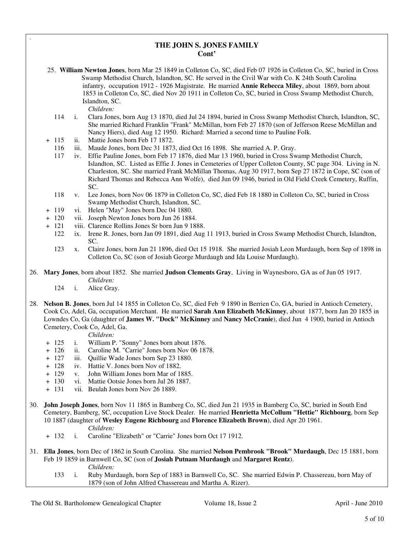## **THE JOHN S. JONES FAMILY Cont'**

- 25. **William Newton Jones**, born Mar 25 1849 in Colleton Co, SC, died Feb 07 1926 in Colleton Co, SC, buried in Cross Swamp Methodist Church, Islandton, SC. He served in the Civil War with Co. K 24th South Carolina infantry, occupation 1912 - 1926 Magistrate. He married **Annie Rebecca Miley**, about 1869, born about 1853 in Colleton Co, SC, died Nov 20 1911 in Colleton Co, SC, buried in Cross Swamp Methodist Church, Islandton, SC. *Children:*
	- 114 i. Clara Jones, born Aug 13 1870, died Jul 24 1894, buried in Cross Swamp Methodist Church, Islandton, SC, She married Richard Franklin "Frank" McMillan, born Feb 27 1870 (son of Jefferson Reese McMillan and Nancy Hiers), died Aug 12 1950. Richard: Married a second time to Pauline Folk.
- + 115 ii. Mattie Jones born Feb 17 1872.

.

- 116 iii. Maude Jones, born Dec 31 1873, died Oct 16 1898. She married A. P. Gray.<br>117 iv. Effie Pauline Jones, born Feb 17 1876, died Mar 13 1960, buried in Cross Sw.
- iv. Effie Pauline Jones, born Feb 17 1876, died Mar 13 1960, buried in Cross Swamp Methodist Church, Islandton, SC. Listed as Effie J. Jones in Cemeteries of Upper Colleton County, SC page 304. Living in N. Charleston, SC. She married Frank McMillan Thomas, Aug 30 1917, born Sep 27 1872 in Cope, SC (son of Richard Thomas and Rebecca Ann Wolfe), died Jun 09 1946, buried in Old Field Creek Cemetery, Ruffin, SC.
- 118 v. Lee Jones, born Nov 06 1879 in Colleton Co, SC, died Feb 18 1880 in Colleton Co, SC, buried in Cross Swamp Methodist Church, Islandton, SC.
- + 119 vi. Helen "May" Jones born Dec 04 1880.
- + 120 vii. Joseph Newton Jones born Jun 26 1884.
- + 121 viii. Clarence Rollins Jones Sr born Jun 9 1888.
	- 122 ix. Irene R. Jones, born Jan 09 1891, died Aug 11 1913, buried in Cross Swamp Methodist Church, Islandton, SC.
	- 123 x. Claire Jones, born Jun 21 1896, died Oct 15 1918. She married Josiah Leon Murdaugh, born Sep of 1898 in Colleton Co, SC (son of Josiah George Murdaugh and Ida Louise Murdaugh).
- 26. **Mary Jones**, born about 1852. She married **Judson Clements Gray**, Living in Waynesboro, GA as of Jun 05 1917. *Children:*
	- 124 i. Alice Gray.
- 28. **Nelson B. Jones**, born Jul 14 1855 in Colleton Co, SC, died Feb 9 1890 in Berrien Co, GA, buried in Antioch Cemetery, Cook Co, Adel, Ga, occupation Merchant. He married **Sarah Ann Elizabeth McKinney**, about 1877, born Jan 20 1855 in Lowndes Co, Ga (daughter of **James W. "Dock" McKinney** and **Nancy McCranie**), died Jun 4 1900, buried in Antioch Cemetery, Cook Co, Adel, Ga.

- + 125 i. William P. "Sonny" Jones born about 1876.
- + 126 ii. Caroline M. "Carrie" Jones born Nov 06 1878.
- + 127 iii. Quillie Wade Jones born Sep 23 1880.
- + 128 iv. Hattie V. Jones born Nov of 1882.
- + 129 v. John William Jones born Mar of 1885.
- + 130 vi. Mattie Ootsie Jones born Jul 26 1887.
- + 131 vii. Beulah Jones born Nov 26 1889.
- 30. **John Joseph Jones**, born Nov 11 1865 in Bamberg Co, SC, died Jun 21 1935 in Bamberg Co, SC, buried in South End Cemetery, Bamberg, SC, occupation Live Stock Dealer. He married **Henrietta McCollum "Hettie" Richbourg**, born Sep 10 1887 (daughter of **Wesley Eugene Richbourg** and **Florence Elizabeth Brown**), died Apr 20 1961. *Children:*
	- + 132 i. Caroline "Elizabeth" or "Carrie" Jones born Oct 17 1912.
- 31. **Ella Jones**, born Dec of 1862 in South Carolina. She married **Nelson Pembrook "Brook" Murdaugh**, Dec 15 1881, born Feb 19 1859 in Barnwell Co, SC (son of **Josiah Putnam Murdaugh** and **Margaret Rentz**). *Children:*
	- 133 i. Ruby Murdaugh, born Sep of 1883 in Barnwell Co, SC. She married Edwin P. Chassereau, born May of 1879 (son of John Alfred Chassereau and Martha A. Rizer).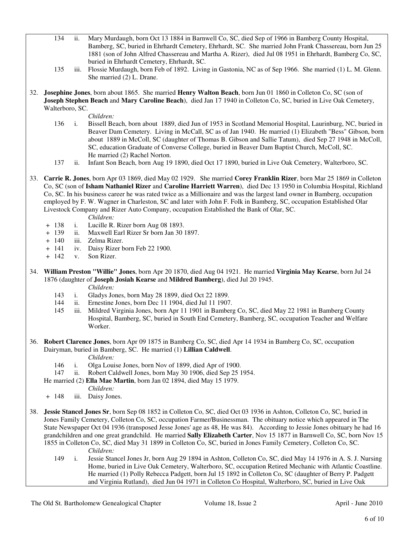- 134 ii. Mary Murdaugh, born Oct 13 1884 in Barnwell Co, SC, died Sep of 1966 in Bamberg County Hospital, Bamberg, SC, buried in Ehrhardt Cemetery, Ehrhardt, SC. She married John Frank Chassereau, born Jun 25 1881 (son of John Alfred Chassereau and Martha A. Rizer), died Jul 08 1951 in Ehrhardt, Bamberg Co, SC, buried in Ehrhardt Cemetery, Ehrhardt, SC.
- 135 iii. Flossie Murdaugh, born Feb of 1892. Living in Gastonia, NC as of Sep 1966. She married (1) L. M. Glenn. She married (2) L. Drane.
- 32. **Josephine Jones**, born about 1865. She married **Henry Walton Beach**, born Jun 01 1860 in Colleton Co, SC (son of **Joseph Stephen Beach** and **Mary Caroline Beach**), died Jan 17 1940 in Colleton Co, SC, buried in Live Oak Cemetery, Walterboro, SC.

*Children:*

- 136 i. Bissell Beach, born about 1889, died Jun of 1953 in Scotland Memorial Hospital, Laurinburg, NC, buried in Beaver Dam Cemetery. Living in McCall, SC as of Jan 1940. He married (1) Elizabeth "Bess" Gibson, born about 1889 in McColl, SC (daughter of Thomas B. Gibson and Sallie Tatum), died Sep 27 1948 in McColl, SC, education Graduate of Converse College, buried in Beaver Dam Baptist Church, McColl, SC. He married (2) Rachel Norton.
- 137 ii. Infant Son Beach, born Aug 19 1890, died Oct 17 1890, buried in Live Oak Cemetery, Walterboro, SC.
- 33. **Carrie R. Jones**, born Apr 03 1869, died May 02 1929. She married **Corey Franklin Rizer**, born Mar 25 1869 in Colleton Co, SC (son of **Isham Nathaniel Rizer** and **Caroline Harriett Warren**), died Dec 13 1950 in Columbia Hospital, Richland Co, SC. In his business career he was rated twice as a Millionaire and was the largest land owner in Bamberg, occupation employed by F. W. Wagner in Charleston, SC and later with John F. Folk in Bamberg, SC, occupation Established Olar Livestock Company and Rizer Auto Company, occupation Established the Bank of Olar, SC.

*Children:*

- + 138 i. Lucille R. Rizer born Aug 08 1893.
- + 139 ii. Maxwell Earl Rizer Sr born Jan 30 1897.
- + 140 iii. Zelma Rizer.
- + 141 iv. Daisy Rizer born Feb 22 1900.
- + 142 v. Son Rizer.
- 34. **William Preston "Willie" Jones**, born Apr 20 1870, died Aug 04 1921. He married **Virginia May Kearse**, born Jul 24 1876 (daughter of **Joseph Josiah Kearse** and **Mildred Bamberg**), died Jul 20 1945.

*Children:*

- 143 i. Gladys Jones, born May 28 1899, died Oct 22 1899.
- 144 ii. Ernestine Jones, born Dec 11 1904, died Jul 11 1907.
- 145 iii. Mildred Virginia Jones, born Apr 11 1901 in Bamberg Co, SC, died May 22 1981 in Bamberg County Hospital, Bamberg, SC, buried in South End Cemetery, Bamberg, SC, occupation Teacher and Welfare Worker.
- 36. **Robert Clarence Jones**, born Apr 09 1875 in Bamberg Co, SC, died Apr 14 1934 in Bamberg Co, SC, occupation Dairyman, buried in Bamberg, SC. He married (1) **Lillian Caldwell**.

*Children:*

- 146 i. Olga Louise Jones, born Nov of 1899, died Apr of 1900.
- 147 ii. Robert Caldwell Jones, born May 30 1906, died Sep 25 1954.

He married (2) **Ella Mae Martin**, born Jan 02 1894, died May 15 1979.

- *Children:*
- + 148 iii. Daisy Jones.
- 38. **Jessie Stancel Jones Sr**, born Sep 08 1852 in Colleton Co, SC, died Oct 03 1936 in Ashton, Colleton Co, SC, buried in Jones Family Cemetery, Colleton Co, SC, occupation Farmer/Businessman. The obituary notice which appeared in The State Newspaper Oct 04 1936 (transposed Jesse Jones' age as 48, He was 84). According to Jessie Jones obituary he had 16 grandchildren and one great grandchild. He married **Sally Elizabeth Carter**, Nov 15 1877 in Barnwell Co, SC, born Nov 15 1855 in Colleton Co, SC, died May 31 1899 in Colleton Co, SC, buried in Jones Family Cemetery, Colleton Co, SC. *Children:*
	- 149 i. Jessie Stancel Jones Jr, born Aug 29 1894 in Ashton, Colleton Co, SC, died May 14 1976 in A. S. J. Nursing Home, buried in Live Oak Cemetery, Walterboro, SC, occupation Retired Mechanic with Atlantic Coastline. He married (1) Polly Rebecca Padgett, born Jul 15 1892 in Colleton Co, SC (daughter of Berry P. Padgett and Virginia Rutland), died Jun 04 1971 in Colleton Co Hospital, Walterboro, SC, buried in Live Oak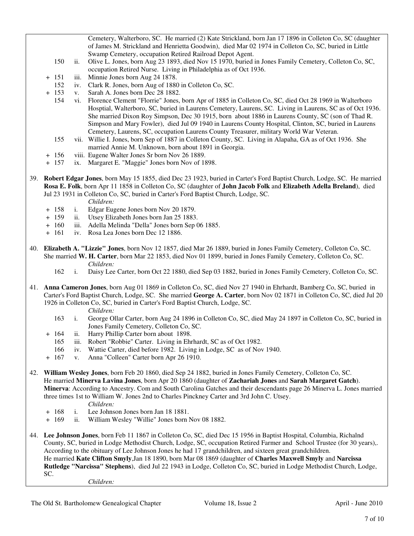Cemetery, Walterboro, SC. He married (2) Kate Strickland, born Jan 17 1896 in Colleton Co, SC (daughter of James M. Strickland and Henrietta Goodwin), died Mar 02 1974 in Colleton Co, SC, buried in Little Swamp Cemetery, occupation Retired Railroad Depot Agent.

- 150 ii. Olive L. Jones, born Aug 23 1893, died Nov 15 1970, buried in Jones Family Cemetery, Colleton Co, SC, occupation Retired Nurse. Living in Philadelphia as of Oct 1936.
- + 151 iii. Minnie Jones born Aug 24 1878.
- 152 iv. Clark R. Jones, born Aug of 1880 in Colleton Co, SC.
- + 153 v. Sarah A. Jones born Dec 28 1882.
	- 154 vi. Florence Clement "Florrie" Jones, born Apr of 1885 in Colleton Co, SC, died Oct 28 1969 in Walterboro Hosptial, Walterboro, SC, buried in Laurens Cemetery, Laurens, SC. Living in Laurens, SC as of Oct 1936. She married Dixon Roy Simpson, Dec 30 1915, born about 1886 in Laurens County, SC (son of Thad R. Simpson and Mary Fowler), died Jul 09 1940 in Laurens County Hospital, Clinton, SC, buried in Laurens Cemetery, Laurens, SC, occupation Laurens County Treasurer, military World War Veteran.
	- 155 vii. Willie I. Jones, born Sep of 1887 in Colleton County, SC. Living in Alapaha, GA as of Oct 1936. She married Annie M. Unknown, born about 1891 in Georgia.
- + 156 viii. Eugene Walter Jones Sr born Nov 26 1889.
- + 157 ix. Margaret E. "Maggie" Jones born Nov of 1898.
- 39. **Robert Edgar Jones**, born May 15 1855, died Dec 23 1923, buried in Carter's Ford Baptist Church, Lodge, SC. He married **Rosa E. Folk**, born Apr 11 1858 in Colleton Co, SC (daughter of **John Jacob Folk** and **Elizabeth Adella Breland**), died Jul 23 1931 in Colleton Co, SC, buried in Carter's Ford Baptist Church, Lodge, SC.

*Children:*

- + 158 i. Edgar Eugene Jones born Nov 20 1879.
- ii. Utsey Elizabeth Jones born Jan 25 1883.
- + 160 iii. Adella Melinda "Della" Jones born Sep 06 1885.
- + 161 iv. Rosa Lea Jones born Dec 12 1886.
- 40. **Elizabeth A. "Lizzie" Jones**, born Nov 12 1857, died Mar 26 1889, buried in Jones Family Cemetery, Colleton Co, SC. She married **W. H. Carter**, born Mar 22 1853, died Nov 01 1899, buried in Jones Family Cemetery, Colleton Co, SC. *Children:*
	- 162 i. Daisy Lee Carter, born Oct 22 1880, died Sep 03 1882, buried in Jones Family Cemetery, Colleton Co, SC.
- 41. **Anna Cameron Jones**, born Aug 01 1869 in Colleton Co, SC, died Nov 27 1940 in Ehrhardt, Bamberg Co, SC, buried in Carter's Ford Baptist Church, Lodge, SC. She married **George A. Carter**, born Nov 02 1871 in Colleton Co, SC, died Jul 20 1926 in Colleton Co, SC, buried in Carter's Ford Baptist Church, Lodge, SC.

#### *Children:*

- 163 i. George Ollar Carter, born Aug 24 1896 in Colleton Co, SC, died May 24 1897 in Colleton Co, SC, buried in Jones Family Cemetery, Colleton Co, SC.
- + 164 ii. Harry Phillip Carter born about 1898.
	- 165 iii. Robert "Robbie" Carter. Living in Ehrhardt, SC as of Oct 1982.
	- 166 iv. Wattie Carter, died before 1982. Living in Lodge, SC as of Nov 1940.
- + 167 v. Anna "Colleen" Carter born Apr 26 1910.
- 42. **William Wesley Jones**, born Feb 20 1860, died Sep 24 1882, buried in Jones Family Cemetery, Colleton Co, SC. He married **Minerva Lavina Jones**, born Apr 20 1860 (daughter of **Zachariah Jones** and **Sarah Margaret Gatch**). **Minerva**: According to Ancestry. Com and South Carolina Gatches and their descendants page 26 Minerva L. Jones married three times 1st to William W. Jones 2nd to Charles Pinckney Carter and 3rd John C. Utsey.
	- *Children:*
	- + 168 i. Lee Johnson Jones born Jan 18 1881.
	- + 169 ii. William Wesley "Willie" Jones born Nov 08 1882.
- 44. **Lee Johnson Jones**, born Feb 11 1867 in Colleton Co, SC, died Dec 15 1956 in Baptist Hospital, Columbia, Richalnd County, SC, buried in Lodge Methodist Church, Lodge, SC, occupation Retired Farmer and School Trustee (for 30 years),. According to the obituary of Lee Johnson Jones he had 17 grandchildren, and sixteen great grandchildren. He married **Kate Clifton Smyly**,Jan 18 1890, born Mar 08 1869 (daughter of **Charles Maxwell Smyly** and **Narcissa Rutledge "Narcissa" Stephens**), died Jul 22 1943 in Lodge, Colleton Co, SC, buried in Lodge Methodist Church, Lodge, SC.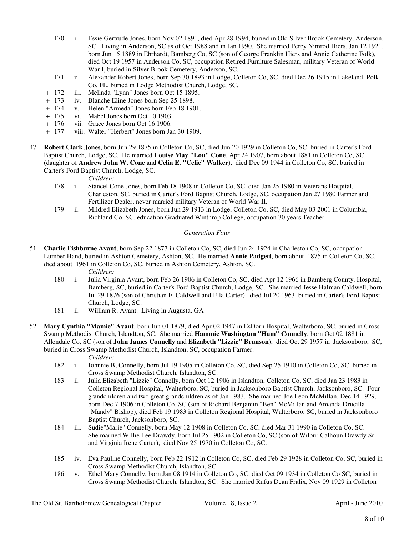- 170 i. Essie Gertrude Jones, born Nov 02 1891, died Apr 28 1994, buried in Old Silver Brook Cemetery, Anderson, SC. Living in Anderson, SC as of Oct 1988 and in Jan 1990. She married Percy Nimrod Hiers, Jan 12 1921, born Jun 15 1889 in Ehrhardt, Bamberg Co, SC (son of George Franklin Hiers and Annie Catherine Folk), died Oct 19 1957 in Anderson Co, SC, occupation Retired Furniture Salesman, military Veteran of World War I, buried in Silver Brook Cemetery, Anderson, SC.
- 171 ii. Alexander Robert Jones, born Sep 30 1893 in Lodge, Colleton Co, SC, died Dec 26 1915 in Lakeland, Polk Co, FL, buried in Lodge Methodist Church, Lodge, SC.
- + 172 iii. Melinda "Lynn" Jones born Oct 15 1895.
- + 173 iv. Blanche Eline Jones born Sep 25 1898.
- + 174 v. Helen "Armeda" Jones born Feb 18 1901.
- + 175 vi. Mabel Jones born Oct 10 1903.
- + 176 vii. Grace Jones born Oct 16 1906.
- + 177 viii. Walter "Herbert" Jones born Jan 30 1909.
- 47. **Robert Clark Jones**, born Jun 29 1875 in Colleton Co, SC, died Jun 20 1929 in Colleton Co, SC, buried in Carter's Ford Baptist Church, Lodge, SC. He married **Louise May "Lou" Cone**, Apr 24 1907, born about 1881 in Colleton Co, SC (daughter of **Andrew John W. Cone** and **Celia E. "Celie" Walker**), died Dec 09 1944 in Colleton Co, SC, buried in Carter's Ford Baptist Church, Lodge, SC.

*Children:*

- 178 i. Stancel Cone Jones, born Feb 18 1908 in Colleton Co, SC, died Jan 25 1980 in Veterans Hospital, Charleston, SC, buried in Carter's Ford Baptist Church, Lodge, SC, occupation Jan 27 1980 Farmer and Fertilizer Dealer, never married military Veteran of World War II.
- 179 ii. Mildred Elizabeth Jones, born Jun 29 1913 in Lodge, Colleton Co, SC, died May 03 2001 in Columbia, Richland Co, SC, education Graduated Winthrop College, occupation 30 years Teacher.

#### *Generation Four*

51. **Charlie Fishburne Avant**, born Sep 22 1877 in Colleton Co, SC, died Jun 24 1924 in Charleston Co, SC, occupation Lumber Hand, buried in Ashton Cemetery, Ashton, SC. He married **Annie Padgett**, born about 1875 in Colleton Co, SC, died about 1961 in Colleton Co, SC, buried in Ashton Cemetery, Ashton, SC.

- 180 i. Julia Virginia Avant, born Feb 26 1906 in Colleton Co, SC, died Apr 12 1966 in Bamberg County. Hospital, Bamberg, SC, buried in Carter's Ford Baptist Church, Lodge, SC. She married Jesse Halman Caldwell, born Jul 29 1876 (son of Christian F. Caldwell and Ella Carter), died Jul 20 1963, buried in Carter's Ford Baptist Church, Lodge, SC.
- 181 ii. William R. Avant. Living in Augusta, GA
- 52. **Mary Cynthia "Mamie" Avant**, born Jun 01 1879, died Apr 02 1947 in EsDorn Hospital, Walterboro, SC, buried in Cross Swamp Methodist Church, Islandton, SC. She married **Hammie Washington "Ham" Connelly**, born Oct 02 1881 in Allendale Co, SC (son of **John James Connelly** and **Elizabeth "Lizzie" Brunson**), died Oct 29 1957 in Jacksonboro, SC, buried in Cross Swamp Methodist Church, Islandton, SC, occupation Farmer.
	- *Children:*
	- 182 i. Johnnie B, Connelly, born Jul 19 1905 in Colleton Co, SC, died Sep 25 1910 in Colleton Co, SC, buried in Cross Swamp Methodist Church, Islandton, SC.
	- 183 ii. Julia Elizabeth "Lizzie" Connelly, born Oct 12 1906 in Islandton, Colleton Co, SC, died Jan 23 1983 in Colleton Regional Hospital, Walterboro, SC, buried in Jacksonboro Baptist Church, Jacksonboro, SC. Four grandchildren and two great grandchildren as of Jan 1983. She married Joe Leon McMillan, Dec 14 1929, born Dec 7 1906 in Colleton Co, SC (son of Richard Benjamin "Ben" McMillan and Amanda Drucilla "Mandy" Bishop), died Feb 19 1983 in Colleton Regional Hospital, Walterboro, SC, buried in Jacksonboro Baptist Church, Jacksonboro, SC.
	- 184 iii. Sudie"Marie" Connelly, born May 12 1908 in Colleton Co, SC, died Mar 31 1990 in Colleton Co, SC. She married Willie Lee Drawdy, born Jul 25 1902 in Colleton Co, SC (son of Wilbur Calhoun Drawdy Sr and Virginia Irene Carter), died Nov 25 1970 in Colleton Co, SC.
	- 185 iv. Eva Pauline Connelly, born Feb 22 1912 in Colleton Co, SC, died Feb 29 1928 in Colleton Co, SC, buried in Cross Swamp Methodist Church, Islandton, SC.
	- 186 v. Ethel Mary Connelly, born Jan 08 1914 in Colleton Co, SC, died Oct 09 1934 in Colleton Co SC, buried in Cross Swamp Methodist Church, Islandton, SC. She married Rufus Dean Fralix, Nov 09 1929 in Colleton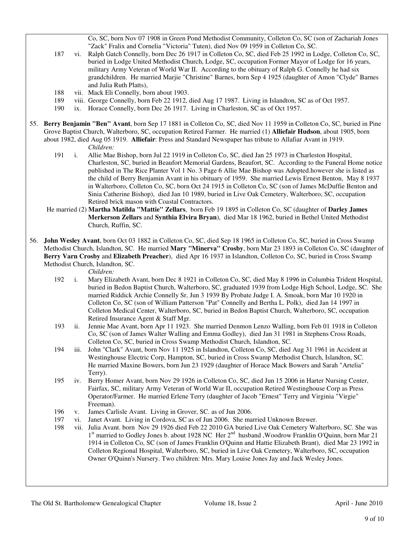Co, SC, born Nov 07 1908 in Green Pond Methodist Community, Colleton Co, SC (son of Zachariah Jones "Zack" Fralix and Cornelia "Victoria" Tuten), died Nov 09 1959 in Colleton Co, SC.

- 187 vi. Ralph Gatch Connelly, born Dec 26 1917 in Colleton Co, SC, died Feb 25 1992 in Lodge, Colleton Co, SC, buried in Lodge United Methodist Church, Lodge, SC, occupation Former Mayor of Lodge for 16 years, military Army Veteran of World War II. According to the obituary of Ralph G. Connelly he had six grandchildren. He married Marjie "Christine" Barnes, born Sep 4 1925 (daughter of Amon "Clyde" Barnes and Julia Ruth Platts),
- 188 vii. Mack Eli Connelly, born about 1903.
- 189 viii. George Connelly, born Feb 22 1912, died Aug 17 1987. Living in Islandton, SC as of Oct 1957.
- 190 ix. Horace Connelly, born Dec 26 1917. Living in Charleston, SC as of Oct 1957.
- 55. **Berry Benjamin "Ben" Avant**, born Sep 17 1881 in Colleton Co, SC, died Nov 11 1959 in Colleton Co, SC, buried in Pine Grove Baptist Church, Walterboro, SC, occupation Retired Farmer. He married (1) **Alliefair Hudson**, about 1905, born about 1982, died Aug 05 1919. **Alliefair**: Press and Standard Newspaper has tribute to Allafiar Avant in 1919.

*Children:*

- 191 i. Allie Mae Bishop, born Jul 22 1919 in Colleton Co, SC, died Jan 25 1973 in Charleston Hospital, Charleston, SC, buried in Beaufort Memorial Gardens, Beaufort, SC. According to the Funeral Home notice published in The Rice Planter Vol 1 No. 3 Page 6 Allie Mae Bishop was Adopted.however she is listed as the child of Berry Benjamin Avant in his obituary of 1959. She married Lewis Ernest Benton, May 8 1937 in Walterboro, Colleton Co, SC, born Oct 24 1915 in Colleton Co, SC (son of James McDuffie Benton and Sinia Catherine Bishop), died Jan 10 1989, buried in Live Oak Cemetery, Walterboro, SC, occupation Retired brick mason with Coastal Contractors.
- He married (2) **Martha Matilda "Mattie" Zellars**, born Feb 19 1895 in Colleton Co, SC (daughter of **Darley James Merkerson Zellars** and **Synthia Elvira Bryan**), died Mar 18 1962, buried in Bethel United Methodist Church, Ruffin, SC.
- 56. **John Wesley Avant**, born Oct 03 1882 in Colleton Co, SC, died Sep 18 1965 in Colleton Co, SC, buried in Cross Swamp Methodist Church, Islandton, SC. He married **Mary "Minerva" Crosby**, born Mar 23 1893 in Colleton Co, SC (daughter of **Berry Varn Crosby** and **Elizabeth Preacher**), died Apr 16 1937 in Islandton, Colleton Co, SC, buried in Cross Swamp Methodist Church, Islandton, SC.

- 192 i. Mary Elizabeth Avant, born Dec 8 1921 in Colleton Co, SC, died May 8 1996 in Columbia Trident Hospital, buried in Bedon Baptist Church, Walterboro, SC, graduated 1939 from Lodge High School, Lodge, SC. She married Riddick Archie Connelly Sr, Jun 3 1939 By Probate Judge I. A. Smoak, born Mar 10 1920 in Colleton Co, SC (son of William Patterson "Pat" Connelly and Bertha L. Polk), died Jan 14 1997 in Colleton Medical Center, Walterboro, SC, buried in Bedon Baptist Church, Walterboro, SC, occupation Retired Insurance Agent & Staff Mgr.
- 193 ii. Jennie Mae Avant, born Apr 11 1923. She married Denmon Lenzo Walling, born Feb 01 1918 in Colleton Co, SC (son of James Walter Walling and Emma Godley), died Jan 31 1981 in Stephens Cross Roads, Colleton Co, SC, buried in Cross Swamp Methodist Church, Islandton, SC.
- 194 iii. John "Clark" Avant, born Nov 11 1925 in Islandton, Colleton Co, SC, died Aug 31 1961 in Accident at Westinghouse Electric Corp, Hampton, SC, buried in Cross Swamp Methodist Church, Islandton, SC. He married Maxine Bowers, born Jun 23 1929 (daughter of Horace Mack Bowers and Sarah "Artelia" Terry).
- 195 iv. Berry Homer Avant, born Nov 29 1926 in Colleton Co, SC, died Jun 15 2006 in Harter Nursing Center, Fairfax, SC, military Army Veteran of World War II, occupation Retired Westinghouse Corp as Press Operator/Farmer. He married Erlene Terry (daughter of Jacob "Ernest" Terry and Virginia "Virgie" Freeman).
- 196 v. James Carlisle Avant. Living in Grover, SC. as of Jun 2006.
- 197 vi. Janet Avant. Living in Cordova, SC as of Jun 2006. She married Unknown Brewer.
- 198 vii. Julia Avant. born Nov 29 1926 died Feb 22 2010 GA buried Live Oak Cemetery Walterboro, SC. She was 1<sup>st</sup> married to Godley Jones b. about 1928 NC Her 2<sup>nd</sup> husband , Woodrow Franklin O'Quinn, born Mar 21 1914 in Colleton Co, SC (son of James Franklin O'Quinn and Hattie Elizabeth Brant), died Mar 23 1992 in Colleton Regional Hospital, Walterboro, SC, buried in Live Oak Cemetery, Walterboro, SC, occupation Owner O'Quinn's Nursery. Two children: Mrs. Mary Louise Jones Jay and Jack Wesley Jones.